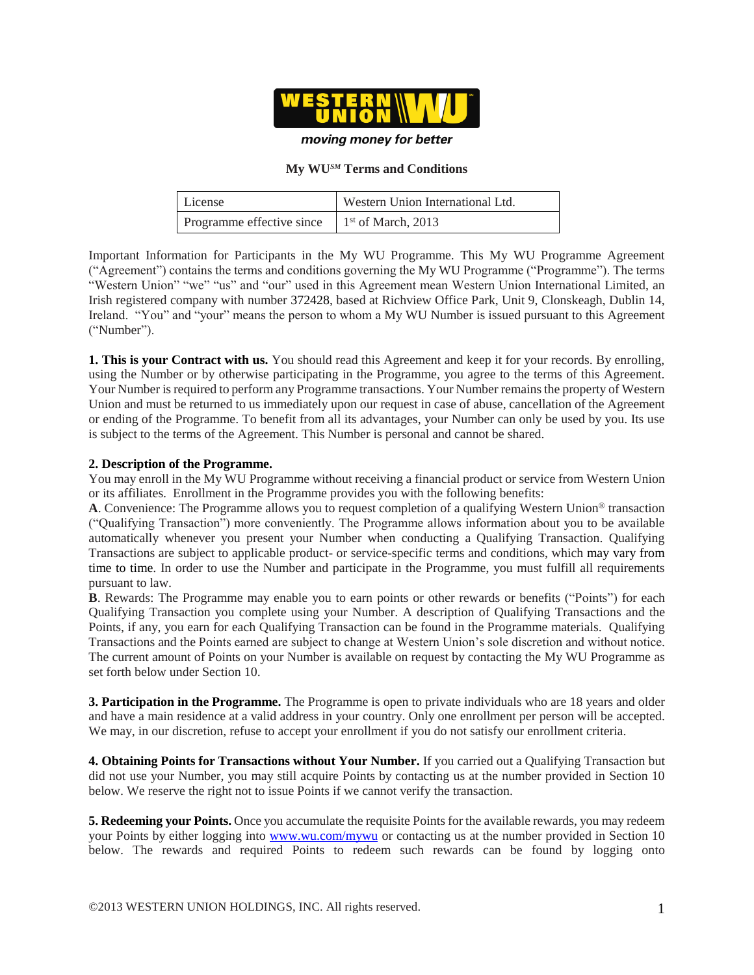

moving money for better

## **My WU***SM* **Terms and Conditions**

| License                                        | Western Union International Ltd. |
|------------------------------------------------|----------------------------------|
| Programme effective since $1st$ of March, 2013 |                                  |

Important Information for Participants in the My WU Programme. This My WU Programme Agreement ("Agreement") contains the terms and conditions governing the My WU Programme ("Programme"). The terms "Western Union" "we" "us" and "our" used in this Agreement mean Western Union International Limited, an Irish registered company with number 372428, based at Richview Office Park, Unit 9, Clonskeagh, Dublin 14, Ireland. "You" and "your" means the person to whom a My WU Number is issued pursuant to this Agreement ("Number").

**1. This is your Contract with us.** You should read this Agreement and keep it for your records. By enrolling, using the Number or by otherwise participating in the Programme, you agree to the terms of this Agreement. Your Number is required to perform any Programme transactions. Your Number remains the property of Western Union and must be returned to us immediately upon our request in case of abuse, cancellation of the Agreement or ending of the Programme. To benefit from all its advantages, your Number can only be used by you. Its use is subject to the terms of the Agreement. This Number is personal and cannot be shared.

## **2. Description of the Programme.**

You may enroll in the My WU Programme without receiving a financial product or service from Western Union or its affiliates. Enrollment in the Programme provides you with the following benefits:

**A**. Convenience: The Programme allows you to request completion of a qualifying Western Union® transaction ("Qualifying Transaction") more conveniently. The Programme allows information about you to be available automatically whenever you present your Number when conducting a Qualifying Transaction. Qualifying Transactions are subject to applicable product- or service-specific terms and conditions, which may vary from time to time. In order to use the Number and participate in the Programme, you must fulfill all requirements pursuant to law.

**B**. Rewards: The Programme may enable you to earn points or other rewards or benefits ("Points") for each Qualifying Transaction you complete using your Number. A description of Qualifying Transactions and the Points, if any, you earn for each Qualifying Transaction can be found in the Programme materials. Qualifying Transactions and the Points earned are subject to change at Western Union's sole discretion and without notice. The current amount of Points on your Number is available on request by contacting the My WU Programme as set forth below under Section 10.

**3. Participation in the Programme.** The Programme is open to private individuals who are 18 years and older and have a main residence at a valid address in your country. Only one enrollment per person will be accepted. We may, in our discretion, refuse to accept your enrollment if you do not satisfy our enrollment criteria.

**4. Obtaining Points for Transactions without Your Number.** If you carried out a Qualifying Transaction but did not use your Number, you may still acquire Points by contacting us at the number provided in Section 10 below. We reserve the right not to issue Points if we cannot verify the transaction.

**5. Redeeming your Points.** Once you accumulate the requisite Points for the available rewards, you may redeem your Points by either logging into [www.wu.com/mywu](http://www.wu.com/mywu) or contacting us at the number provided in Section 10 below. The rewards and required Points to redeem such rewards can be found by logging onto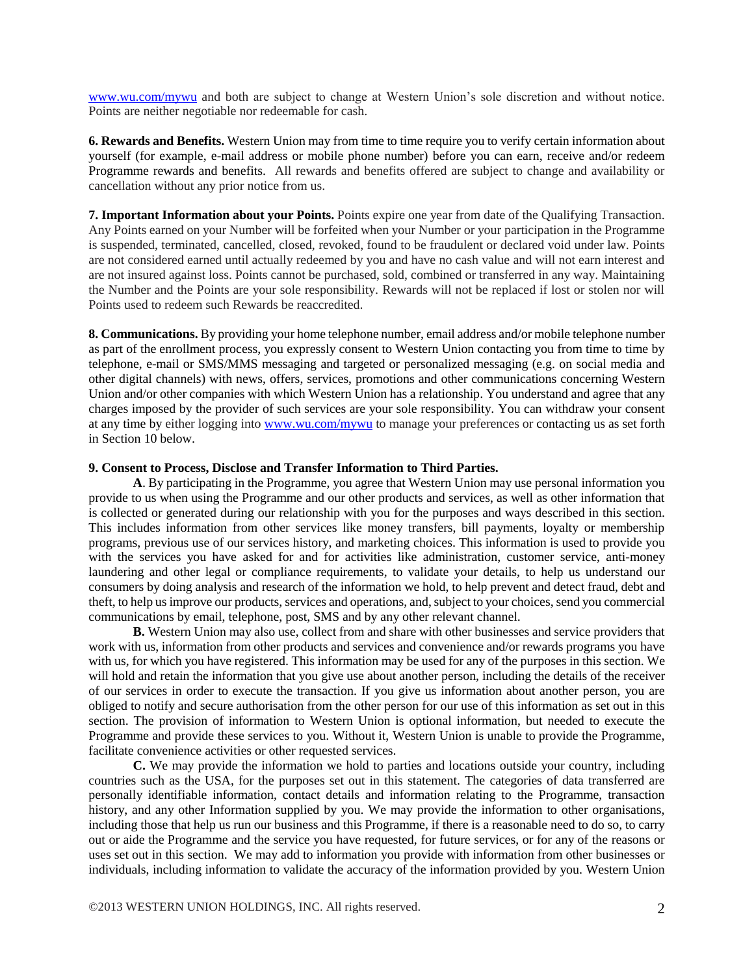[www.wu.com/mywu](http://www.wu.com/mywu) and both are subject to change at Western Union's sole discretion and without notice. Points are neither negotiable nor redeemable for cash.

**6. Rewards and Benefits.** Western Union may from time to time require you to verify certain information about yourself (for example, e-mail address or mobile phone number) before you can earn, receive and/or redeem Programme rewards and benefits. All rewards and benefits offered are subject to change and availability or cancellation without any prior notice from us.

**7. Important Information about your Points.** Points expire one year from date of the Qualifying Transaction. Any Points earned on your Number will be forfeited when your Number or your participation in the Programme is suspended, terminated, cancelled, closed, revoked, found to be fraudulent or declared void under law. Points are not considered earned until actually redeemed by you and have no cash value and will not earn interest and are not insured against loss. Points cannot be purchased, sold, combined or transferred in any way. Maintaining the Number and the Points are your sole responsibility. Rewards will not be replaced if lost or stolen nor will Points used to redeem such Rewards be reaccredited.

**8. Communications.** By providing your home telephone number, email address and/or mobile telephone number as part of the enrollment process, you expressly consent to Western Union contacting you from time to time by telephone, e-mail or SMS/MMS messaging and targeted or personalized messaging (e.g. on social media and other digital channels) with news, offers, services, promotions and other communications concerning Western Union and/or other companies with which Western Union has a relationship. You understand and agree that any charges imposed by the provider of such services are your sole responsibility. You can withdraw your consent at any time by either logging int[o www.wu.com/mywu](http://www.wu.com/mywu) to manage your preferences or contacting us as set forth in Section 10 below.

## **9. Consent to Process, Disclose and Transfer Information to Third Parties.**

**A**. By participating in the Programme, you agree that Western Union may use personal information you provide to us when using the Programme and our other products and services, as well as other information that is collected or generated during our relationship with you for the purposes and ways described in this section. This includes information from other services like money transfers, bill payments, loyalty or membership programs, previous use of our services history, and marketing choices. This information is used to provide you with the services you have asked for and for activities like administration, customer service, anti-money laundering and other legal or compliance requirements, to validate your details, to help us understand our consumers by doing analysis and research of the information we hold, to help prevent and detect fraud, debt and theft, to help us improve our products, services and operations, and, subject to your choices, send you commercial communications by email, telephone, post, SMS and by any other relevant channel.

**B.** Western Union may also use, collect from and share with other businesses and service providers that work with us, information from other products and services and convenience and/or rewards programs you have with us, for which you have registered. This information may be used for any of the purposes in this section. We will hold and retain the information that you give use about another person, including the details of the receiver of our services in order to execute the transaction. If you give us information about another person, you are obliged to notify and secure authorisation from the other person for our use of this information as set out in this section. The provision of information to Western Union is optional information, but needed to execute the Programme and provide these services to you. Without it, Western Union is unable to provide the Programme, facilitate convenience activities or other requested services.

**C.** We may provide the information we hold to parties and locations outside your country, including countries such as the USA, for the purposes set out in this statement. The categories of data transferred are personally identifiable information, contact details and information relating to the Programme, transaction history, and any other Information supplied by you. We may provide the information to other organisations, including those that help us run our business and this Programme, if there is a reasonable need to do so, to carry out or aide the Programme and the service you have requested, for future services, or for any of the reasons or uses set out in this section. We may add to information you provide with information from other businesses or individuals, including information to validate the accuracy of the information provided by you. Western Union